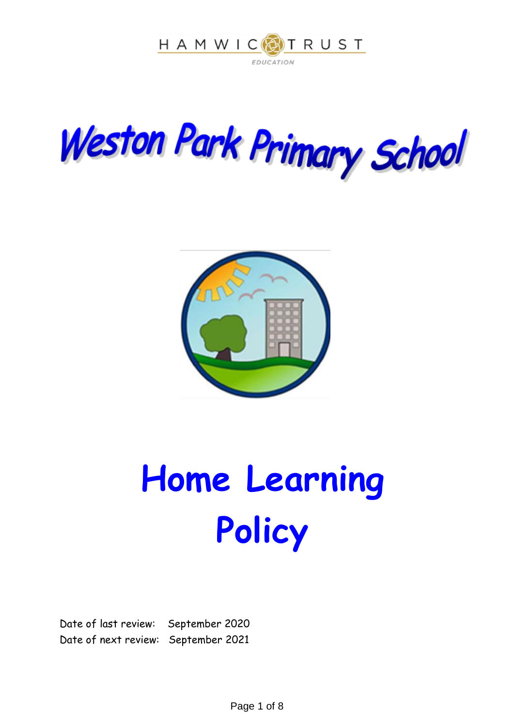





# **Home Learning Policy**

Date of last review: September 2020 Date of next review: September 2021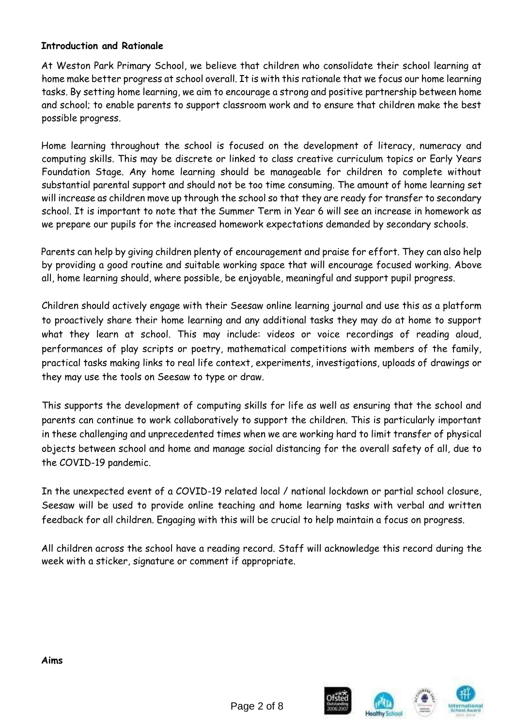#### **Introduction and Rationale**

At Weston Park Primary School, we believe that children who consolidate their school learning at home make better progress at school overall. It is with this rationale that we focus our home learning tasks. By setting home learning, we aim to encourage a strong and positive partnership between home and school; to enable parents to support classroom work and to ensure that children make the best possible progress.

Home learning throughout the school is focused on the development of literacy, numeracy and computing skills. This may be discrete or linked to class creative curriculum topics or Early Years Foundation Stage. Any home learning should be manageable for children to complete without substantial parental support and should not be too time consuming. The amount of home learning set will increase as children move up through the school so that they are ready for transfer to secondary school. It is important to note that the Summer Term in Year 6 will see an increase in homework as we prepare our pupils for the increased homework expectations demanded by secondary schools.

Parents can help by giving children plenty of encouragement and praise for effort. They can also help by providing a good routine and suitable working space that will encourage focused working. Above all, home learning should, where possible, be enjoyable, meaningful and support pupil progress.

Children should actively engage with their Seesaw online learning journal and use this as a platform to proactively share their home learning and any additional tasks they may do at home to support what they learn at school. This may include: videos or voice recordings of reading aloud, performances of play scripts or poetry, mathematical competitions with members of the family, practical tasks making links to real life context, experiments, investigations, uploads of drawings or they may use the tools on Seesaw to type or draw.

This supports the development of computing skills for life as well as ensuring that the school and parents can continue to work collaboratively to support the children. This is particularly important in these challenging and unprecedented times when we are working hard to limit transfer of physical objects between school and home and manage social distancing for the overall safety of all, due to the COVID-19 pandemic.

In the unexpected event of a COVID-19 related local / national lockdown or partial school closure, Seesaw will be used to provide online teaching and home learning tasks with verbal and written feedback for all children. Engaging with this will be crucial to help maintain a focus on progress.

All children across the school have a reading record. Staff will acknowledge this record during the week with a sticker, signature or comment if appropriate.

**Aims**

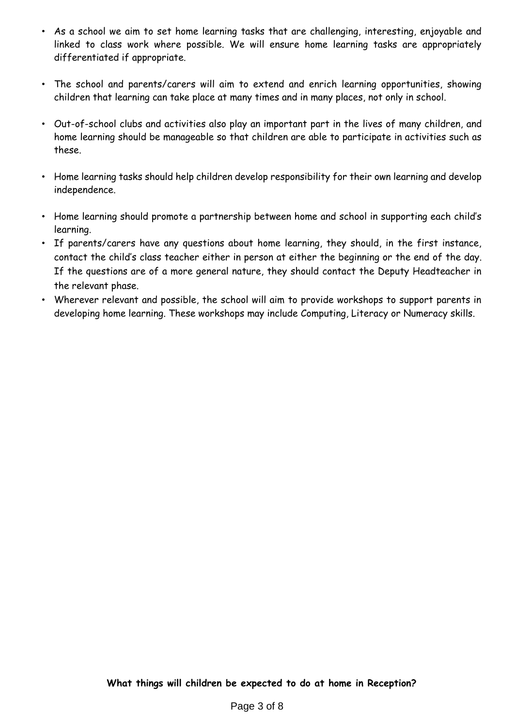- As a school we aim to set home learning tasks that are challenging, interesting, enjoyable and linked to class work where possible. We will ensure home learning tasks are appropriately differentiated if appropriate.
- The school and parents/carers will aim to extend and enrich learning opportunities, showing children that learning can take place at many times and in many places, not only in school.
- Out-of-school clubs and activities also play an important part in the lives of many children, and home learning should be manageable so that children are able to participate in activities such as these.
- Home learning tasks should help children develop responsibility for their own learning and develop independence.
- Home learning should promote a partnership between home and school in supporting each child's learning.
- If parents/carers have any questions about home learning, they should, in the first instance, contact the child's class teacher either in person at either the beginning or the end of the day. If the questions are of a more general nature, they should contact the Deputy Headteacher in the relevant phase.
- Wherever relevant and possible, the school will aim to provide workshops to support parents in developing home learning. These workshops may include Computing, Literacy or Numeracy skills.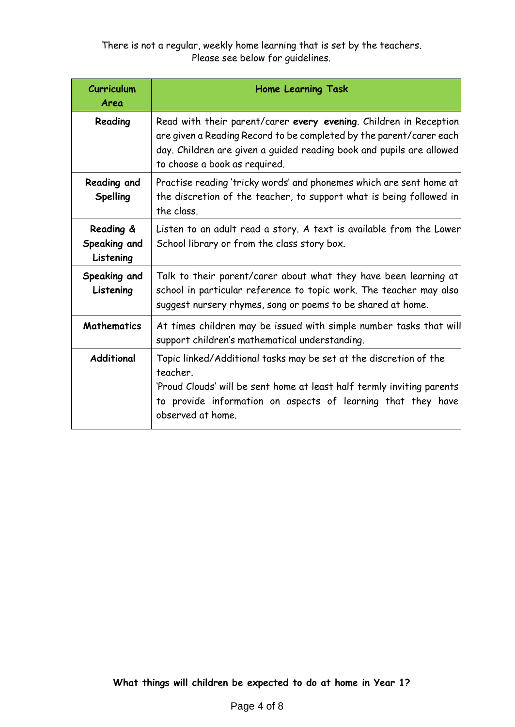There is not a regular, weekly home learning that is set by the teachers. Please see below for guidelines.

| Curriculum<br>Area                     | <b>Home Learning Task</b>                                                                                                                                                                                                                         |
|----------------------------------------|---------------------------------------------------------------------------------------------------------------------------------------------------------------------------------------------------------------------------------------------------|
| Reading                                | Read with their parent/carer every evening. Children in Reception<br>are given a Reading Record to be completed by the parent/carer each<br>day. Children are given a guided reading book and pupils are allowed<br>to choose a book as required. |
| Reading and<br><b>Spelling</b>         | Practise reading 'tricky words' and phonemes which are sent home at<br>the discretion of the teacher, to support what is being followed in<br>the class.                                                                                          |
| Reading &<br>Speaking and<br>Listening | Listen to an adult read a story. A text is available from the Lower<br>School library or from the class story box.                                                                                                                                |
| Speaking and<br>Listening              | Talk to their parent/carer about what they have been learning at<br>school in particular reference to topic work. The teacher may also<br>suggest nursery rhymes, song or poems to be shared at home.                                             |
| <b>Mathematics</b>                     | At times children may be issued with simple number tasks that will<br>support children's mathematical understanding.                                                                                                                              |
| Additional                             | Topic linked/Additional tasks may be set at the discretion of the<br>teacher.<br>'Proud Clouds' will be sent home at least half termly inviting parents<br>to provide information on aspects of learning that they have<br>observed at home.      |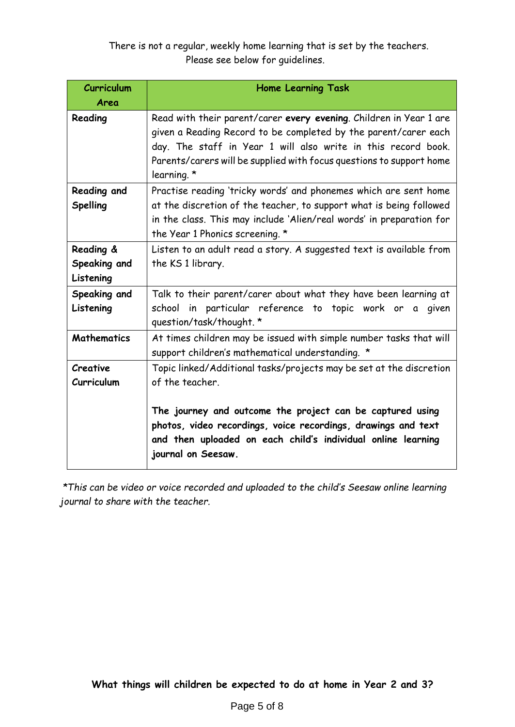There is not a regular, weekly home learning that is set by the teachers. Please see below for guidelines.

| <b>Curriculum</b><br>Area              | <b>Home Learning Task</b>                                                                                                                                                                                                                                                                                  |
|----------------------------------------|------------------------------------------------------------------------------------------------------------------------------------------------------------------------------------------------------------------------------------------------------------------------------------------------------------|
| Reading                                | Read with their parent/carer every evening. Children in Year 1 are<br>given a Reading Record to be completed by the parent/carer each<br>day. The staff in Year 1 will also write in this record book.<br>Parents/carers will be supplied with focus questions to support home<br>learning. *              |
| Reading and<br><b>Spelling</b>         | Practise reading 'tricky words' and phonemes which are sent home<br>at the discretion of the teacher, to support what is being followed<br>in the class. This may include 'Alien/real words' in preparation for<br>the Year 1 Phonics screening. *                                                         |
| Reading &<br>Speaking and<br>Listening | Listen to an adult read a story. A suggested text is available from<br>the KS 1 library.                                                                                                                                                                                                                   |
| Speaking and<br>Listening              | Talk to their parent/carer about what they have been learning at<br>school in particular reference to topic work or a<br>given<br>question/task/thought. *                                                                                                                                                 |
| <b>Mathematics</b>                     | At times children may be issued with simple number tasks that will<br>support children's mathematical understanding. *                                                                                                                                                                                     |
| Creative<br>Curriculum                 | Topic linked/Additional tasks/projects may be set at the discretion<br>of the teacher.<br>The journey and outcome the project can be captured using<br>photos, video recordings, voice recordings, drawings and text<br>and then uploaded on each child's individual online learning<br>journal on Seesaw. |

*\*This can be video or voice recorded and uploaded to the child's Seesaw online learning journal to share with the teacher.*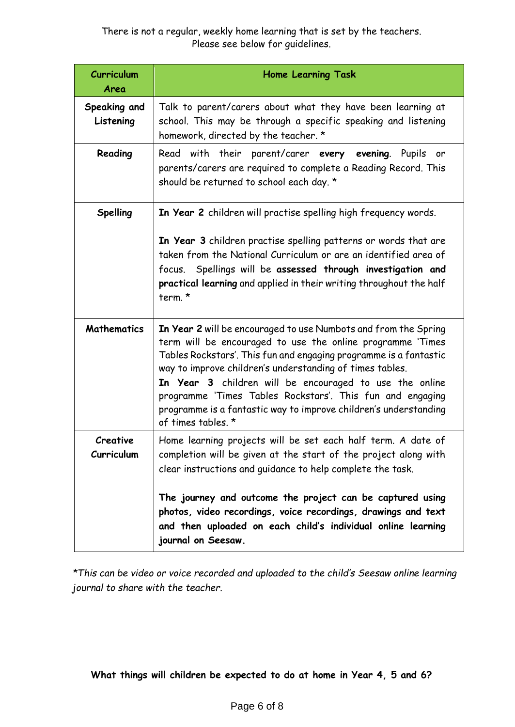### There is not a regular, weekly home learning that is set by the teachers. Please see below for guidelines.

| <b>Curriculum</b><br>Area | <b>Home Learning Task</b>                                                                                                                                                                                                                                                                                                                                                                                                                                                        |
|---------------------------|----------------------------------------------------------------------------------------------------------------------------------------------------------------------------------------------------------------------------------------------------------------------------------------------------------------------------------------------------------------------------------------------------------------------------------------------------------------------------------|
| Speaking and<br>Listening | Talk to parent/carers about what they have been learning at<br>school. This may be through a specific speaking and listening<br>homework, directed by the teacher. *                                                                                                                                                                                                                                                                                                             |
| Reading                   | Read with their parent/carer every evening. Pupils or<br>parents/carers are required to complete a Reading Record. This<br>should be returned to school each day. *                                                                                                                                                                                                                                                                                                              |
| <b>Spelling</b>           | In Year 2 children will practise spelling high frequency words.<br>In Year 3 children practise spelling patterns or words that are<br>taken from the National Curriculum or are an identified area of<br>focus. Spellings will be assessed through investigation and<br>practical learning and applied in their writing throughout the half<br>term. *                                                                                                                           |
| <b>Mathematics</b>        | In Year 2 will be encouraged to use Numbots and from the Spring<br>term will be encouraged to use the online programme 'Times<br>Tables Rockstars'. This fun and engaging programme is a fantastic<br>way to improve children's understanding of times tables.<br>In Year 3 children will be encouraged to use the online<br>programme 'Times Tables Rockstars'. This fun and engaging<br>programme is a fantastic way to improve children's understanding<br>of times tables. * |
| Creative<br>Curriculum    | Home learning projects will be set each half term. A date of<br>completion will be given at the start of the project along with<br>clear instructions and guidance to help complete the task.<br>The journey and outcome the project can be captured using<br>photos, video recordings, voice recordings, drawings and text<br>and then uploaded on each child's individual online learning<br>journal on Seesaw.                                                                |

*\*This can be video or voice recorded and uploaded to the child's Seesaw online learning journal to share with the teacher.*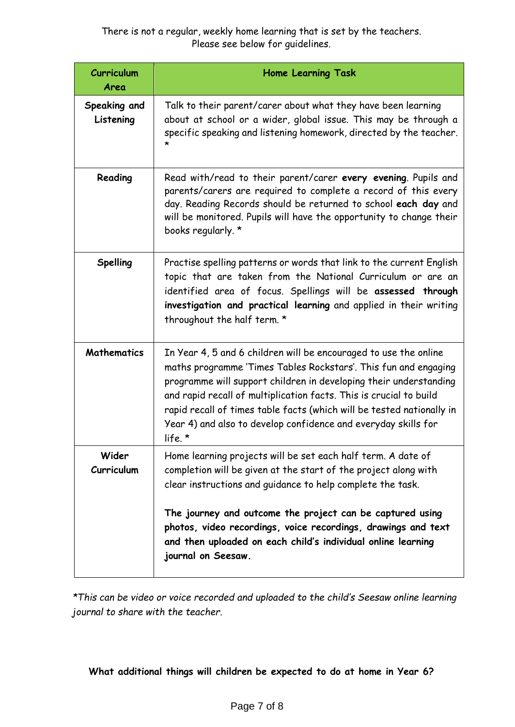There is not a regular, weekly home learning that is set by the teachers. Please see below for guidelines.

| <b>Curriculum</b><br>Area | <b>Home Learning Task</b>                                                                                                                                                                                                                                                                                                                                                                                                              |
|---------------------------|----------------------------------------------------------------------------------------------------------------------------------------------------------------------------------------------------------------------------------------------------------------------------------------------------------------------------------------------------------------------------------------------------------------------------------------|
| Speaking and<br>Listening | Talk to their parent/carer about what they have been learning<br>about at school or a wider, global issue. This may be through a<br>specific speaking and listening homework, directed by the teacher.<br>*                                                                                                                                                                                                                            |
| Reading                   | Read with/read to their parent/carer every evening. Pupils and<br>parents/carers are required to complete a record of this every<br>day. Reading Records should be returned to school each day and<br>will be monitored. Pupils will have the opportunity to change their<br>books regularly. *                                                                                                                                        |
| Spelling                  | Practise spelling patterns or words that link to the current English<br>topic that are taken from the National Curriculum or are an<br>identified area of focus. Spellings will be assessed through<br>investigation and practical learning and applied in their writing<br>throughout the half term. *                                                                                                                                |
| <b>Mathematics</b>        | In Year 4, 5 and 6 children will be encouraged to use the online<br>maths programme 'Times Tables Rockstars'. This fun and engaging<br>programme will support children in developing their understanding<br>and rapid recall of multiplication facts. This is crucial to build<br>rapid recall of times table facts (which will be tested nationally in<br>Year 4) and also to develop confidence and everyday skills for<br>life. $*$ |
| Wider<br>Curriculum       | Home learning projects will be set each half term. A date of<br>completion will be given at the start of the project along with<br>clear instructions and guidance to help complete the task.<br>The journey and outcome the project can be captured using<br>photos, video recordings, voice recordings, drawings and text<br>and then uploaded on each child's individual online learning<br>journal on Seesaw.                      |

*\*This can be video or voice recorded and uploaded to the child's Seesaw online learning journal to share with the teacher.*